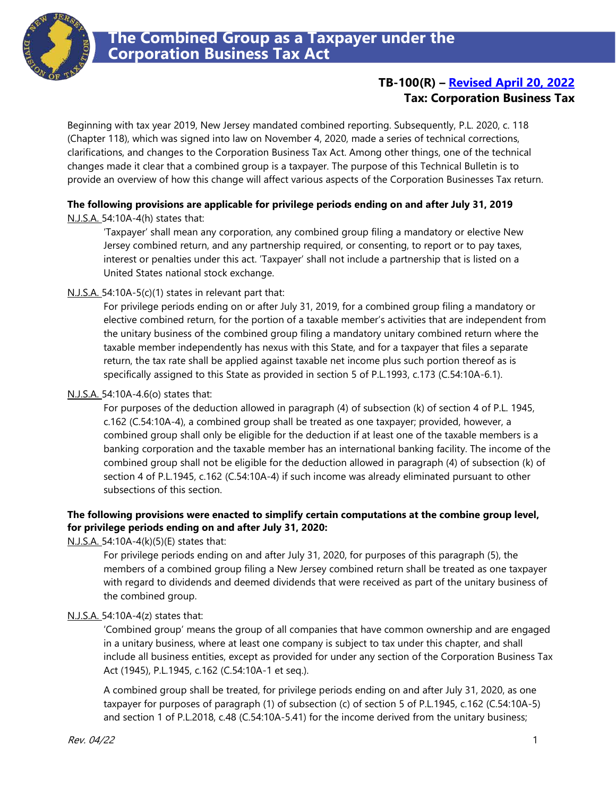

# **TB-100(R) – [Revised April 20, 2022](#page-2-0) Tax: Corporation Business Tax**

Beginning with tax year 2019, New Jersey mandated combined reporting. Subsequently, P.L. 2020, c. 118 (Chapter 118), which was signed into law on November 4, 2020, made a series of technical corrections, clarifications, and changes to the Corporation Business Tax Act. Among other things, one of the technical changes made it clear that a combined group is a taxpayer. The purpose of this Technical Bulletin is to provide an overview of how this change will affect various aspects of the Corporation Businesses Tax return.

# **The following provisions are applicable for privilege periods ending on and after July 31, 2019**

N.J.S.A. 54:10A-4(h) states that:

'Taxpayer' shall mean any corporation, any combined group filing a mandatory or elective New Jersey combined return, and any partnership required, or consenting, to report or to pay taxes, interest or penalties under this act. 'Taxpayer' shall not include a partnership that is listed on a United States national stock exchange.

### N.J.S.A. 54:10A-5(c)(1) states in relevant part that:

For privilege periods ending on or after July 31, 2019, for a combined group filing a mandatory or elective combined return, for the portion of a taxable member's activities that are independent from the unitary business of the combined group filing a mandatory unitary combined return where the taxable member independently has nexus with this State, and for a taxpayer that files a separate return, the tax rate shall be applied against taxable net income plus such portion thereof as is specifically assigned to this State as provided in section 5 of P.L.1993, c.173 (C.54:10A-6.1).

#### N.J.S.A. 54:10A-4.6(o) states that:

For purposes of the deduction allowed in paragraph (4) of subsection (k) of section 4 of P.L. 1945, c.162 (C.54:10A-4), a combined group shall be treated as one taxpayer; provided, however, a combined group shall only be eligible for the deduction if at least one of the taxable members is a banking corporation and the taxable member has an international banking facility. The income of the combined group shall not be eligible for the deduction allowed in paragraph (4) of subsection (k) of section 4 of P.L.1945, c.162 (C.54:10A-4) if such income was already eliminated pursuant to other subsections of this section.

### **The following provisions were enacted to simplify certain computations at the combine group level, for privilege periods ending on and after July 31, 2020:**

N.J.S.A. 54:10A-4(k)(5)(E) states that:

For privilege periods ending on and after July 31, 2020, for purposes of this paragraph (5), the members of a combined group filing a New Jersey combined return shall be treated as one taxpayer with regard to dividends and deemed dividends that were received as part of the unitary business of the combined group.

#### N.J.S.A. 54:10A-4(z) states that:

'Combined group' means the group of all companies that have common ownership and are engaged in a unitary business, where at least one company is subject to tax under this chapter, and shall include all business entities, except as provided for under any section of the Corporation Business Tax Act (1945), P.L.1945, c.162 (C.54:10A-1 et seq.).

A combined group shall be treated, for privilege periods ending on and after July 31, 2020, as one taxpayer for purposes of paragraph (1) of subsection (c) of section 5 of P.L.1945, c.162 (C.54:10A-5) and section 1 of P.L.2018, c.48 (C.54:10A-5.41) for the income derived from the unitary business;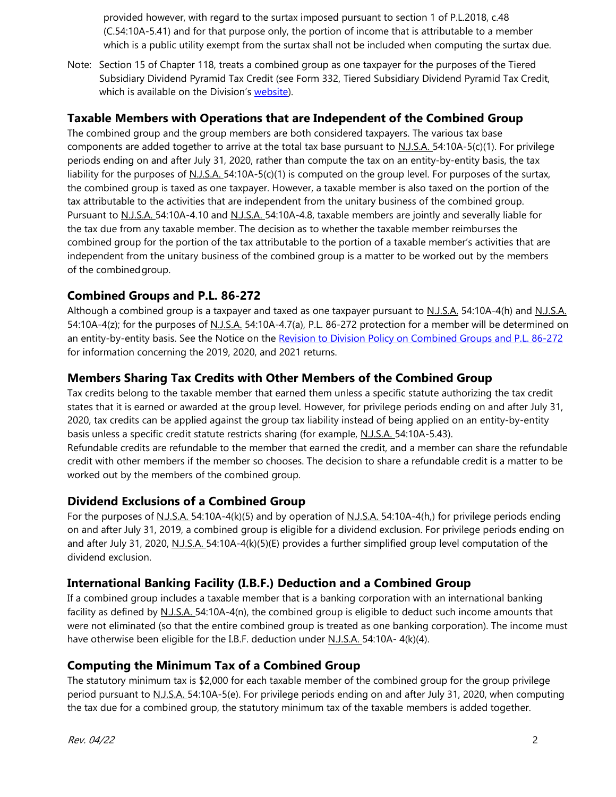provided however, with regard to the surtax imposed pursuant to section 1 of P.L.2018, c.48 (C.54:10A-5.41) and for that purpose only, the portion of income that is attributable to a member which is a public utility exempt from the surtax shall not be included when computing the surtax due.

Note: Section 15 of Chapter 118, treats a combined group as one taxpayer for the purposes of the Tiered Subsidiary Dividend Pyramid Tax Credit (see Form 332, Tiered Subsidiary Dividend Pyramid Tax Credit, which is available on the Division's [website\)](mailto:https://www.state.nj.us/treasury/taxation/prntcbt.shtml).

## **Taxable Members with Operations that are Independent of the Combined Group**

The combined group and the group members are both considered taxpayers. The various tax base components are added together to arrive at the total tax base pursuant to N.J.S.A. 54:10A-5(c)(1). For privilege periods ending on and after July 31, 2020, rather than compute the tax on an entity-by-entity basis, the tax liability for the purposes of N.J.S.A. 54:10A-5(c)(1) is computed on the group level. For purposes of the surtax, the combined group is taxed as one taxpayer. However, a taxable member is also taxed on the portion of the tax attributable to the activities that are independent from the unitary business of the combined group. Pursuant to N.J.S.A. 54:10A-4.10 and N.J.S.A. 54:10A-4.8, taxable members are jointly and severally liable for the tax due from any taxable member. The decision as to whether the taxable member reimburses the combined group for the portion of the tax attributable to the portion of a taxable member's activities that are independent from the unitary business of the combined group is a matter to be worked out by the members of the combinedgroup.

# **Combined Groups and P.L. 86-272**

Although a combined group is a taxpayer and taxed as one taxpayer pursuant to N.J.S.A. 54:10A-4(h) and N.J.S.A. 54:10A-4(z); for the purposes of N.J.S.A. 54:10A-4.7(a), P.L. 86-272 protection for a member will be determined on an entity-by-entity basis. See the Notice on the [Revision to Division Policy on Combined Groups and P.L. 86-272](https://www.state.nj.us/treasury/taxation/cbt/combinedgroupsrevision.shtml) for information concerning the 2019, 2020, and 2021 returns.

## **Members Sharing Tax Credits with Other Members of the Combined Group**

Tax credits belong to the taxable member that earned them unless a specific statute authorizing the tax credit states that it is earned or awarded at the group level. However, for privilege periods ending on and after July 31, 2020, tax credits can be applied against the group tax liability instead of being applied on an entity-by-entity basis unless a specific credit statute restricts sharing (for example, N.J.S.A. 54:10A-5.43).

Refundable credits are refundable to the member that earned the credit, and a member can share the refundable credit with other members if the member so chooses. The decision to share a refundable credit is a matter to be worked out by the members of the combined group.

## **Dividend Exclusions of a Combined Group**

For the purposes of N.J.S.A. 54:10A-4(k)(5) and by operation of N.J.S.A. 54:10A-4(h,) for privilege periods ending on and after July 31, 2019, a combined group is eligible for a dividend exclusion. For privilege periods ending on and after July 31, 2020, N.J.S.A. 54:10A-4(k)(5)(E) provides a further simplified group level computation of the dividend exclusion.

# **International Banking Facility (I.B.F.) Deduction and a Combined Group**

If a combined group includes a taxable member that is a banking corporation with an international banking facility as defined by  $N.J.S.A. 54:10A-4(n)$ , the combined group is eligible to deduct such income amounts that were not eliminated (so that the entire combined group is treated as one banking corporation). The income must have otherwise been eligible for the I.B.F. deduction under N.J.S.A. 54:10A- 4(k)(4).

## **Computing the Minimum Tax of a Combined Group**

The statutory minimum tax is \$2,000 for each taxable member of the combined group for the group privilege period pursuant to N.J.S.A. 54:10A-5(e). For privilege periods ending on and after July 31, 2020, when computing the tax due for a combined group, the statutory minimum tax of the taxable members is added together.